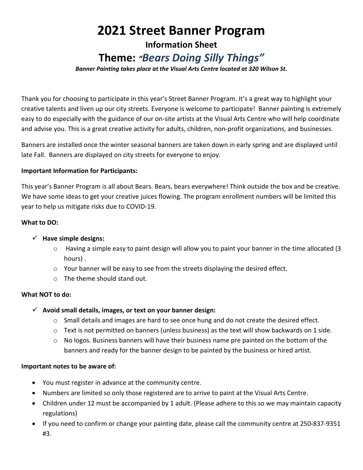# **2021 Street Banner Program**

## **Information Sheet**

# **Theme:** *"Bears Doing Silly Things"*

*Banner Painting takes place at the Visual Arts Centre located at 320 Wilson St.*

Thank you for choosing to participate in this year's Street Banner Program. It's a great way to highlight your creative talents and liven up our city streets. Everyone is welcome to participate! Banner painting is extremely easy to do especially with the guidance of our on-site artists at the Visual Arts Centre who will help coordinate and advise you. This is a great creative activity for adults, children, non-profit organizations, and businesses.

Banners are installed once the winter seasonal banners are taken down in early spring and are displayed until late Fall. Banners are displayed on city streets for everyone to enjoy.

#### **Important Information for Participants:**

This year's Banner Program is all about Bears. Bears, bears everywhere! Think outside the box and be creative. We have some ideas to get your creative juices flowing. The program enrollment numbers will be limited this year to help us mitigate risks due to COVID-19.

#### **What to DO:**

#### **Have simple designs:**

- $\circ$  Having a simple easy to paint design will allow you to paint your banner in the time allocated (3) hours) .
- $\circ$  Your banner will be easy to see from the streets displaying the desired effect.
- $\circ$  The theme should stand out.

#### **What NOT to do:**

- **Avoid small details, images, or text on your banner design:**
	- $\circ$  Small details and images are hard to see once hung and do not create the desired effect.
	- $\circ$  Text is not permitted on banners (unless business) as the text will show backwards on 1 side.
	- $\circ$  No logos. Business banners will have their business name pre painted on the bottom of the banners and ready for the banner design to be painted by the business or hired artist.

#### **Important notes to be aware of:**

- You must register in advance at the community centre.
- Numbers are limited so only those registered are to arrive to paint at the Visual Arts Centre.
- Children under 12 must be accompanied by 1 adult. (Please adhere to this so we may maintain capacity regulations)
- If you need to confirm or change your painting date, please call the community centre at 250-837-9351 #3.